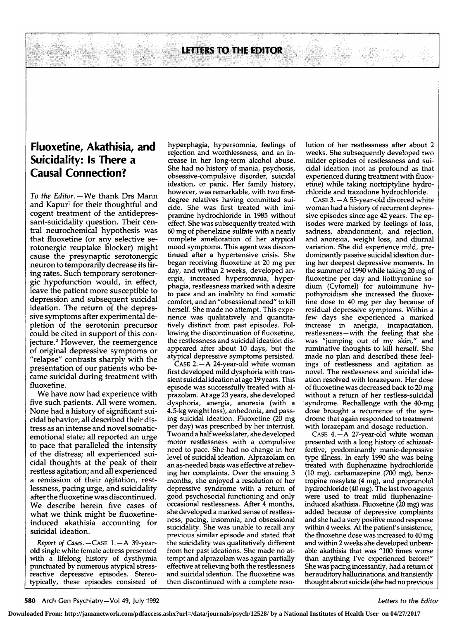LETTERS TO THE EDITOR

## Fluoxetine, Akathisia, and Suicidality: Is There a Causal Connection?

To the Editor. $-\mathsf{We}$  thank Drs Mann and Kapur<sup>1</sup> for their thoughtful and cogent treatment of the antidepressant-suicidality question. Their central neurochemical hypothesis was that fluoxetine (or any selective serotonergic reuptake blocker) might cause the presynaptic serotonergic neuron to temporarily decrease its firing rates. Such temporary serotonergic hypofunction would, in effect, leave the patient more susceptible to depression and subsequent suicidal ideation. The return of the depressive symptoms after experimental depletion of the serotonin precursor could be cited in support of this conjecture.2 However, the reemergence of original depressive symptoms or "relapse" contrasts sharply with the presentation of our patients who became suicidal during treatment with fluoxetine.

We have now had experience with five such patients. All were women. None had <sup>a</sup> history of significant suicidal behavior; all described their distress as an intense and novel somaticemotional state; all reported an urge to pace that paralleled the intensity of the distress; all experienced suicidal thoughts at the peak of their restless agitation; and all experienced a remission of their agitation, restlessness, pacing urge, and suicidality after the fluoxetine was discontinued. We describe herein five cases of what we think might be fluoxetineinduced akathisia accounting for suicidal ideation.

Report of Cases.—Case 1.—A 39-yearold single white female actress presented with <sup>a</sup> lifelong history of dysthymia punctuated by numerous atypical stressreactive depressive episodes. Stereotypically, these episodes consisted of

hyperphagia, hypersomnia, feelings of rejection and worthlessness, and an increase in her long-term alcohol abuse. She had no history of mania, psychosis, obsessive-compulsive disorder, suicidal ideation, or panic. Her family history, however, was remarkable, with two firstdegree relatives having committed suicide. She was first treated with imipramine hydrochloride in <sup>1985</sup> without effect. She was subsequently treated with <sup>60</sup> mg of phenelzine sulfate with <sup>a</sup> nearly complete amelioration of her atypical mood symptoms. This agent was discontinued after <sup>a</sup> hypertensive crisis. She began receiving fluoxetine at <sup>20</sup> mg per day, and within <sup>2</sup> weeks, developed anergia, increased hypersomnia, hyperphagia, restlessness marked with <sup>a</sup> desire to pace and an inability to find somatic comfort, and an "obsessional need" to kill herself. She made no attempt. This experience was qualitatively and quantitatively distinct from past episodes. Following the discontinuation of fluoxetine, the restlessness and suicidal ideation dis appeared after about <sup>10</sup> days, but the atypical depressive symptoms persisted.

Case 2. —A 24-year-old white woman first developed mild dysphoria with transient suicidal ideation at age 19 years. This episode was successfully treated with alprazolam. At age <sup>23</sup> years, she developed dysphoria, anergia, anorexia (with <sup>a</sup> 4.5-kg weight loss), anhedonia, and passing suicidal ideation. Fluoxetine (20 mg per day) was prescribed by her internist. Two and <sup>a</sup> halfweeks later, she developed motor restlessness with <sup>a</sup> compulsive need to pace. She had no change in her level of suicidal ideation. Alprazolam on an as-needed basis was effective at relieving her complaints. Over the ensuing <sup>3</sup> months, she enjoyed <sup>a</sup> resolution of her depressive syndrome with <sup>a</sup> return of good psychosocial functioning and only occasional restlessness. After 4 months, she developed a marked sense of restlessness, pacing, insomnia, and obsessional suicidality. She was unable to recall any previous similar episode and stated that the suicidality was qualitatively different from her past ideations. She made no attempt and alprazolam was again partially effective at relieving both the restlessness and suicidal ideation. The fluoxetine was then discontinued with <sup>a</sup> complete resolution of her restlessness after about 2 weeks. She subsequently developed two milder episodes of restlessness and suicidal ideation (not as profound as that experienced during treatment with fluoxetine) while taking nortriptyline hydrochloride and trazodone hydrochloride.

Case 3. —A 55-year-old divorced white woman had a history of recurrent depressive episodes since age 42 years. The ep isodes were marked by feelings of loss, sadness, abandonment, and rejection, and anorexia, weight loss, and diurnal variation. She did experience mild, predominantly passive suicidal ideation during her deepest depressive moments. In the summer of <sup>1990</sup> while taking <sup>20</sup> mg of fluoxetine per day and liothyronine sodium (Cytomel) for autoimmune hypothyroidism she increased the fluoxetine dose to <sup>40</sup> mg per day because of residual depressive symptoms. Within <sup>a</sup> few days she experienced <sup>a</sup> marked increase in anergia, incapacitation, restlessness—with the feeling that she was "jumping out of my skin," and ruminative thoughts to kill herself. She made no plan and described these feelings of restlessness and agitation as novel. The restlessness and suicidal ideation resolved with lorazepam. Her dose of fluoxetine was decreased back to <sup>20</sup> mg without a return of her restless-suicidal syndrome. Rechallenge with the 40-mg dose brought a recurrence of the syndrome that again responded to treatment with lorazepam and dosage reduction.

CASE 4.—A 27-year-old white woman presented with <sup>a</sup> long history of schizoaffective, predominantly manic-depressive type illness. In early <sup>1990</sup> she was being treated with fluphenazine hydrochloride (10 mg), carbamazepine (700 mg), benztropine mesylate (4 mg), and propranolol hydrochloride (40 mg). The last two agents were used to treat mild fluphenazineinduced akathisia. Fluoxetine (20 mg) was added because of depressive complaints and she had <sup>a</sup> very positive mood response within <sup>4</sup> weeks. At the patient's insistence, the fluoxetine dose was increased to <sup>40</sup> mg and within 2 weeks she developed unbearable akathisia that was "100 times worse than anything I've experienced before!" She was pacing incessantly, had <sup>a</sup> return of herauditory hallucinations, and transiently thought about suicide (she had no previous

**Downloaded From: http://jamanetwork.com/pdfaccess.ashx?url=/data/journals/psych/12528/ by a National Institutes of Health User on 04/27/2017**